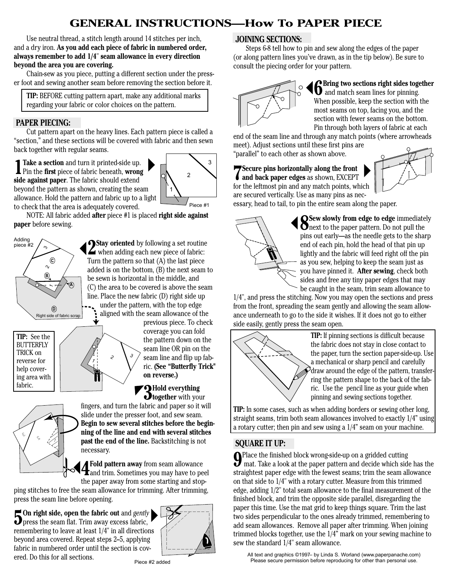# **[GENERAL INSTRUCTIONS—How To PAPER PIECE](http://www.paperpanache.com/)**

 Use neutral thread, a stitch length around 14 stitches per inch, and a dry iron. **As you add each piece of fabric in numbered order, always remember to add 1/4**" **seam allowance in every direction beyond the area you are covering.**

Chain-sew as you piece, putting a different section under the presser foot and sewing another seam before removing the section before it.

 **TIP:** BEFORE cutting pattern apart, make any additional marks regarding your fabric or color choices on the pattern.

#### **PAPER PIECING:**

Cut pattern apart on the heavy lines. Each pattern piece is called a "section," and these sections will be covered with fabric and then sewn back together with regular seams.

**1Take a section** and turn it printed-side up. Pin the **first** piece of fabric beneath, **wrong side against paper**. The fabric should extend beyond the pattern as shown, creating the seam allowance. Hold the pattern and fabric up to a light to check that the area is adequately covered.



 NOTE: All fabric added **after** piece #1 is placed **right side against paper** before sewing.



**2 Stay oriented** by following a set routine when adding each new piece of fabric: Turn the pattern so that (A) the last piece added is on the bottom, (B) the next seam to be sewn is horizontal in the middle, and (C) the area to be covered is above the seam line. Place the new fabric (D) right side up under the pattern, with the top edge aligned with the seam allowance of the

previous piece. To check coverage you can fold the pattern down on the seam line OR pin on the seam line and flip up fabric. **(See "Butterfly Trick" on reverse.)**

**3 Hold everything**<br>**Dtogether** with your



fabric.

fingers, and turn the fabric and paper so it will slide under the presser foot, and sew seam. **Begin to sew several stitches before the beginning of the line and end with several stitches past the end of the line.** Backstitching is not necessary.

**4 Fold pattern away** from seam allowance<br>**4** and trim. Sometimes you may have to peel the paper away from some starting and stop-

ping stitches to free the seam allowance for trimming. After trimming, press the seam line before opening.

**5 On right side, open the fabric out** and *gently* press the seam flat. Trim away excess fabric, remembering to leave at least 1/4" in all directions beyond area covered. Repeat steps 2–5, applying fabric in numbered order until the section is covered. Do this for all sections.

1

2

3



#### **JOINING SECTIONS:**

 Steps 6-8 tell how to pin and sew along the edges of the paper (or along pattern lines you've drawn, as in the tip below). Be sure to consult the piecing order for your pattern.



**6 Bring two sections right sides together** and match seam lines for pinning. When possible, keep the section with the most seams on top, facing you, and the section with fewer seams on the bottom. Pin through both layers of fabric at each

end of the seam line and through any match points (where arrowheads meet). Adjust sections until these first pins are "parallel" to each other as shown above.

**7 Secure pins horizontally along the front and back paper edges** as shown, EXCEPT for the leftmost pin and any match points, which are secured vertically. Use as many pins as nec-



essary, head to tail, to pin the entire seam along the paper.



**8 Sew slowly from edge to edge** immediately next to the paper pattern. Do not pull the pins out early—as the needle gets to the sharp end of each pin, hold the head of that pin up lightly and the fabric will feed right off the pin as you sew, helping to keep the seam just as you have pinned it. **After sewing**, check both sides and free any tiny paper edges that may be caught in the seam, trim seam allowance to

1/4", and press the stitching. Now you may open the sections and press from the front, spreading the seam gently and allowing the seam allowance underneath to go to the side it wishes. If it does not go to either side easily, gently press the seam open.



**TIP:** If pinning sections is difficult because the fabric does not stay in close contact to the paper, turn the section paper-side-up. Use a mechanical or sharp pencil and carefully  $\mathscr{D}$  draw around the edge of the pattern, transfer-<br>ring the pattern shape to the back of the fabring the pattern shape to the back of the fabric. Use the pencil line as your guide when pinning and sewing sections together.

**TIP:** In some cases, such as when adding borders or sewing other long, straight seams, trim both seam allowances involved to exactly 1/4" using a rotary cutter; then pin and sew using a 1/4" seam on your machine.

#### **SQUARE IT UP:**

**9** Place the finished block wrong-side-up on a gridded cutting<br>In mat. Take a look at the paper pattern and decide which side has the straightest paper edge with the fewest seams; trim the seam allowance on that side to 1/4" with a rotary cutter. Measure from this trimmed edge, adding 1/2" total seam allowance to the final measurement of the finished block, and trim the opposite side parallel, disregarding the paper this time. Use the mat grid to keep things square. Trim the last two sides perpendicular to the ones already trimmed, remembering to add seam allowances. Remove all paper after trimming. When joining trimmed blocks together, use the 1/4" mark on your sewing machine to sew the standard 1/4" seam allowance.

All text and graphics ©1997– by Linda S. Worland (www.paperpanache.com) Please secure permission before reproducing for other than personal use.

Piece #2 added